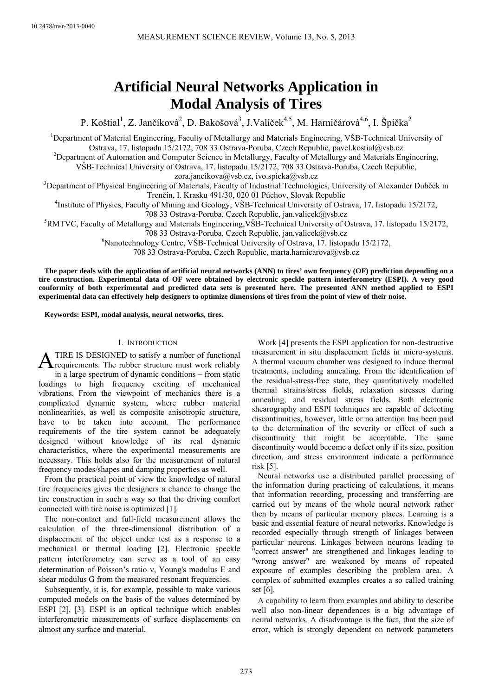# **Artificial Neural Networks Application in Modal Analysis of Tires**

P. Koštial<sup>1</sup>, Z. Jančíková<sup>2</sup>, D. Bakošová<sup>3</sup>, J. Valíček<sup>4,5</sup>, M. Harničárová<sup>4,6</sup>, I. Špička<sup>2</sup>

<sup>1</sup>Department of Material Engineering, Faculty of Metallurgy and Materials Engineering, VŠB-Technical University of Ostrava, 17. listopadu 15/2172, 708 33 Ostrava-Poruba, Czech Republic, pavel.kostial@vsb.cz 2

<sup>2</sup>Department of Automation and Computer Science in Metallurgy, Faculty of Metallurgy and Materials Engineering,

VŠB-Technical University of Ostrava, 17. listopadu 15/2172, 708 33 Ostrava-Poruba, Czech Republic,

zora.jancikova@vsb.cz, ivo.spicka@vsb.cz<br><sup>3</sup>Department of Physical Engineering of Materials, Faculty of Industrial Technologies, University of Alexander Dubček in Trenčín, I. Krasku 491/30, 020 01 Púchov, Slovak Republic 4

<sup>4</sup>Institute of Physics, Faculty of Mining and Geology, VŠB-Technical University of Ostrava, 17. listopadu 15/2172,

708 33 Ostrava-Poruba, Czech Republic, jan.valicek@vsb.cz<br><sup>5</sup>RMTVC, Faculty of Metallurgy and Materials Engineering, VŠB-Technical University of Ostrava, 17. listopadu 15/2172,

708 33 Ostrava-Poruba, Czech Republic, jan.valicek@vsb.cz 6

Nanotechnology Centre, VŠB-Technical University of Ostrava, 17. listopadu 15/2172,

708 33 Ostrava-Poruba, Czech Republic, marta.harnicarova@vsb.cz

**The paper deals with the application of artificial neural networks (ANN) to tires' own frequency (OF) prediction depending on a tire construction. Experimental data of OF were obtained by electronic speckle pattern interferometry (ESPI). A very good conformity of both experimental and predicted data sets is presented here. The presented ANN method applied to ESPI experimental data can effectively help designers to optimize dimensions of tires from the point of view of their noise.** 

**Keywords: ESPI, modal analysis, neural networks, tires.**

#### 1. INTRODUCTION

TIRE IS DESIGNED to satisfy a number of functional A TIRE IS DESIGNED to satisfy a number of functional requirements. The rubber structure must work reliably in a large spectrum of dynamic conditions – from static loadings to high frequency exciting of mechanical vibrations. From the viewpoint of mechanics there is a complicated dynamic system, where rubber material nonlinearities, as well as composite anisotropic structure, have to be taken into account. The performance requirements of the tire system cannot be adequately designed without knowledge of its real dynamic characteristics, where the experimental measurements are necessary. This holds also for the measurement of natural frequency modes/shapes and damping properties as well.

From the practical point of view the knowledge of natural tire frequencies gives the designers a chance to change the tire construction in such a way so that the driving comfort connected with tire noise is optimized [1].

The non-contact and full-field measurement allows the calculation of the three-dimensional distribution of a displacement of the object under test as a response to a mechanical or thermal loading [2]. Electronic speckle pattern interferometry can serve as a tool of an easy determination of Poisson's ratio ν, Young's modulus E and shear modulus G from the measured resonant frequencies.

Subsequently, it is, for example, possible to make various computed models on the basis of the values determined by ESPI [2], [3]. ESPI is an optical technique which enables interferometric measurements of surface displacements on almost any surface and material.

Work [4] presents the ESPI application for non-destructive measurement in situ displacement fields in micro-systems. A thermal vacuum chamber was designed to induce thermal treatments, including annealing. From the identification of the residual-stress-free state, they quantitatively modelled thermal strains/stress fields, relaxation stresses during annealing, and residual stress fields. Both electronic shearography and ESPI techniques are capable of detecting discontinuities, however, little or no attention has been paid to the determination of the severity or effect of such a discontinuity that might be acceptable. The same discontinuity would become a defect only if its size, position direction, and stress environment indicate a performance risk [5].

Neural networks use a distributed parallel processing of the information during practicing of calculations, it means that information recording, processing and transferring are carried out by means of the whole neural network rather then by means of particular memory places. Learning is a basic and essential feature of neural networks. Knowledge is recorded especially through strength of linkages between particular neurons. Linkages between neurons leading to "correct answer" are strengthened and linkages leading to "wrong answer" are weakened by means of repeated exposure of examples describing the problem area. A complex of submitted examples creates a so called training set [6].

A capability to learn from examples and ability to describe well also non-linear dependences is a big advantage of neural networks. A disadvantage is the fact, that the size of error, which is strongly dependent on network parameters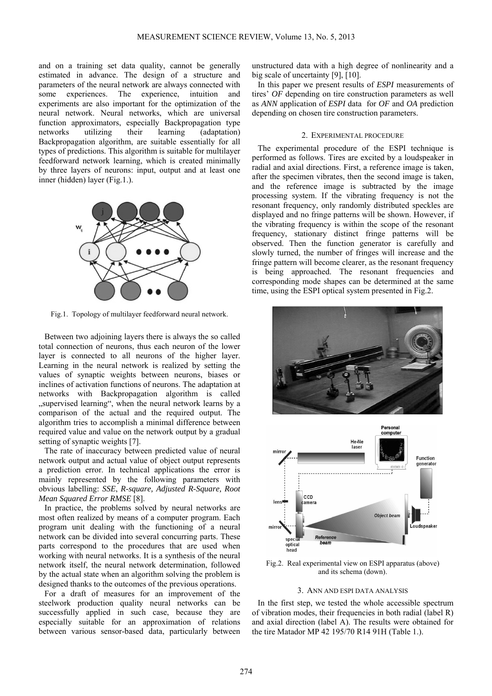and on a training set data quality, cannot be generally estimated in advance. The design of a structure and parameters of the neural network are always connected with some experiences. The experience, intuition and experiments are also important for the optimization of the neural network. Neural networks, which are universal function approximators, especially Backpropagation type networks utilizing their learning (adaptation) Backpropagation algorithm, are suitable essentially for all types of predictions. This algorithm is suitable for multilayer feedforward network learning, which is created minimally by three layers of neurons: input, output and at least one inner (hidden) layer (Fig.1.).



Fig.1. Topology of multilayer feedforward neural network.

Between two adjoining layers there is always the so called total connection of neurons, thus each neuron of the lower layer is connected to all neurons of the higher layer. Learning in the neural network is realized by setting the values of synaptic weights between neurons, biases or inclines of activation functions of neurons. The adaptation at networks with Backpropagation algorithm is called "supervised learning", when the neural network learns by a comparison of the actual and the required output. The algorithm tries to accomplish a minimal difference between required value and value on the network output by a gradual setting of synaptic weights [7].

The rate of inaccuracy between predicted value of neural network output and actual value of object output represents a prediction error. In technical applications the error is mainly represented by the following parameters with obvious labelling: *SSE*, *R-square, Adjusted R-Square, Root Mean Squared Error RMSE* [8].

In practice, the problems solved by neural networks are most often realized by means of a computer program. Each program unit dealing with the functioning of a neural network can be divided into several concurring parts. These parts correspond to the procedures that are used when working with neural networks. It is a synthesis of the neural network itself, the neural network determination, followed by the actual state when an algorithm solving the problem is designed thanks to the outcomes of the previous operations.

For a draft of measures for an improvement of the steelwork production quality neural networks can be successfully applied in such case, because they are especially suitable for an approximation of relations between various sensor-based data, particularly between

unstructured data with a high degree of nonlinearity and a big scale of uncertainty [9], [10].

In this paper we present results of *ESPI* measurements of tires' *OF* depending on tire construction parameters as well as *ANN* application of *ESPI* data for *OF* and *OA* prediction depending on chosen tire construction parameters.

## 2. EXPERIMENTAL PROCEDURE

The experimental procedure of the ESPI technique is performed as follows. Tires are excited by a loudspeaker in radial and axial directions. First, a reference image is taken, after the specimen vibrates, then the second image is taken, and the reference image is subtracted by the image processing system. If the vibrating frequency is not the resonant frequency, only randomly distributed speckles are displayed and no fringe patterns will be shown. However, if the vibrating frequency is within the scope of the resonant frequency, stationary distinct fringe patterns will be observed. Then the function generator is carefully and slowly turned, the number of fringes will increase and the fringe pattern will become clearer, as the resonant frequency is being approached. The resonant frequencies and corresponding mode shapes can be determined at the same time, using the ESPI optical system presented in Fig.2.





Fig.2. Real experimental view on ESPI apparatus (above) and its schema (down).

### 3. ANN AND ESPI DATA ANALYSIS

In the first step, we tested the whole accessible spectrum of vibration modes, their frequencies in both radial (label R) and axial direction (label A). The results were obtained for the tire Matador MP 42 195/70 R14 91H (Table 1.).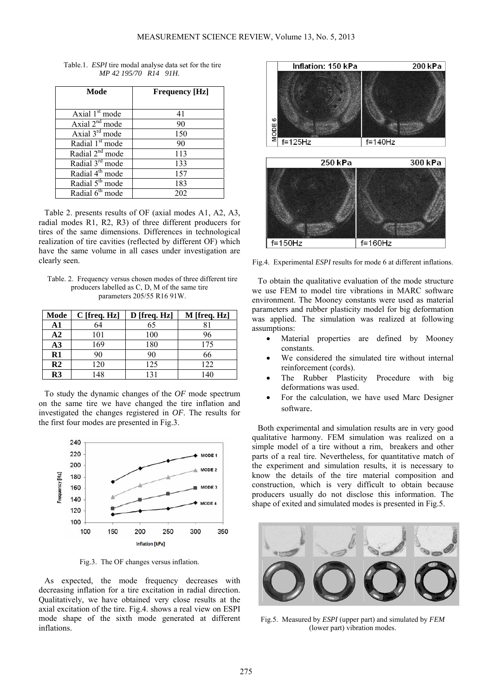| Mode                           | <b>Frequency</b> [Hz] |  |
|--------------------------------|-----------------------|--|
|                                |                       |  |
| Axial $1^{\overline{st}}$ mode | 41                    |  |
| Axial $2nd$ mode               | 90                    |  |
| Axial $3rd$ mode               | 150                   |  |
| Radial 1 <sup>st</sup> mode    | 90                    |  |
| Radial 2 <sup>nd</sup> mode    | 113                   |  |
| Radial 3 <sup>rd</sup> mode    | 133                   |  |
| Radial 4 <sup>th</sup> mode    | 157                   |  |
| Radial 5 <sup>th</sup> mode    | 183                   |  |
| Radial 6 <sup>th</sup> mode    | 202                   |  |

Table.1. *ESPI* tire modal analyse data set for the tire *MP 42 195/70 R14 91H.* 

Table 2. presents results of OF (axial modes A1, A2, A3, radial modes R1, R2, R3) of three different producers for tires of the same dimensions. Differences in technological realization of tire cavities (reflected by different OF) which have the same volume in all cases under investigation are clearly seen.

Table. 2. Frequency versus chosen modes of three different tire producers labelled as C, D, M of the same tire parameters 205/55 R16 91W.

| Mode           | $C$ [freq. Hz] | D [freq. Hz] | M [freq. Hz] |
|----------------|----------------|--------------|--------------|
| A1             | 64             | 65           |              |
| A2             | 101            | 100          | 96           |
| A3             | 169            | 180          | 175          |
| $R1$           | 90             | 90           | 66           |
| R <sub>2</sub> | 120            | 125          | 122          |
| R3             | 148            | 131          | 140          |

To study the dynamic changes of the *OF* mode spectrum on the same tire we have changed the tire inflation and investigated the changes registered in *OF*. The results for the first four modes are presented in Fig.3.



Fig.3. The OF changes versus inflation.

As expected, the mode frequency decreases with decreasing inflation for a tire excitation in radial direction. Qualitatively, we have obtained very close results at the axial excitation of the tire. Fig.4. shows a real view on ESPI mode shape of the sixth mode generated at different inflations.



Fig.4. Experimental *ESPI* results for mode 6 at different inflations.

To obtain the qualitative evaluation of the mode structure we use FEM to model tire vibrations in MARC software environment. The Mooney constants were used as material parameters and rubber plasticity model for big deformation was applied. The simulation was realized at following assumptions:

- Material properties are defined by Mooney constants.
- We considered the simulated tire without internal reinforcement (cords).
- The Rubber Plasticity Procedure with big deformations was used.
- For the calculation, we have used Marc Designer software.

Both experimental and simulation results are in very good qualitative harmony. FEM simulation was realized on a simple model of a tire without a rim, breakers and other parts of a real tire. Nevertheless, for quantitative match of the experiment and simulation results, it is necessary to know the details of the tire material composition and construction, which is very difficult to obtain because producers usually do not disclose this information. The shape of exited and simulated modes is presented in Fig.5.



Fig.5. Measured by *ESPI* (upper part) and simulated by *FEM*  (lower part) vibration modes.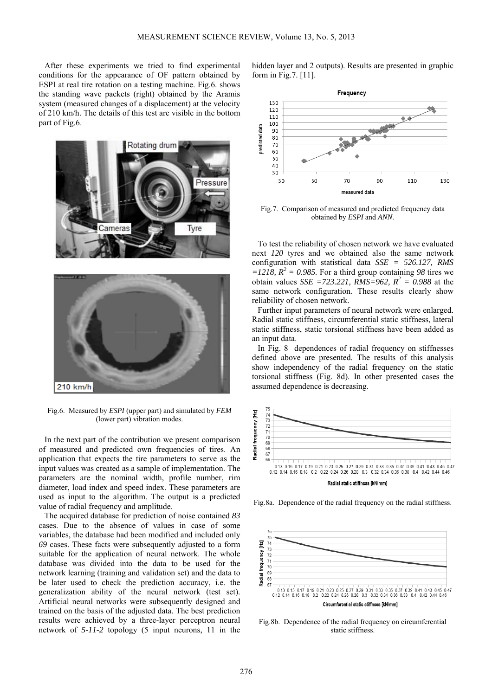After these experiments we tried to find experimental conditions for the appearance of OF pattern obtained by ESPI at real tire rotation on a testing machine. Fig.6. shows the standing wave packets (right) obtained by the Aramis system (measured changes of a displacement) at the velocity of 210 km/h. The details of this test are visible in the bottom part of Fig.6.



Fig.6. Measured by *ESPI* (upper part) and simulated by *FEM*  (lower part) vibration modes.

In the next part of the contribution we present comparison of measured and predicted own frequencies of tires. An application that expects the tire parameters to serve as the input values was created as a sample of implementation. The parameters are the nominal width, profile number, rim diameter, load index and speed index. These parameters are used as input to the algorithm. The output is a predicted value of radial frequency and amplitude.

The acquired database for prediction of noise contained *83* cases. Due to the absence of values in case of some variables, the database had been modified and included only *69* cases. These facts were subsequently adjusted to a form suitable for the application of neural network. The whole database was divided into the data to be used for the network learning (training and validation set) and the data to be later used to check the prediction accuracy, i.e. the generalization ability of the neural network (test set). Artificial neural networks were subsequently designed and trained on the basis of the adjusted data. The best prediction results were achieved by a three-layer perceptron neural network of *5-11-2* topology (5 input neurons, 11 in the

hidden layer and 2 outputs). Results are presented in graphic form in Fig.7. [11].



Fig.7. Comparison of measured and predicted frequency data obtained by *ESPI* and *ANN*.

To test the reliability of chosen network we have evaluated next *120* tyres and we obtained also the same network configuration with statistical data *SSE = 526.127, RMS*   $=1218$ ,  $R^2 = 0.985$ . For a third group containing 98 tires we obtain values *SSE* = 723.221, *RMS*=962,  $R^2 = 0.988$  at the same network configuration*.* These results clearly show reliability of chosen network.

Further input parameters of neural network were enlarged. Radial static stiffness, circumferential static stiffness, lateral static stiffness, static torsional stiffness have been added as an input data.

In Fig. 8 dependences of radial frequency on stiffnesses defined above are presented. The results of this analysis show independency of the radial frequency on the static torsional stiffness (Fig. 8d). In other presented cases the assumed dependence is decreasing.



Fig.8a. Dependence of the radial frequency on the radial stiffness.



Fig.8b. Dependence of the radial frequency on circumferential static stiffness.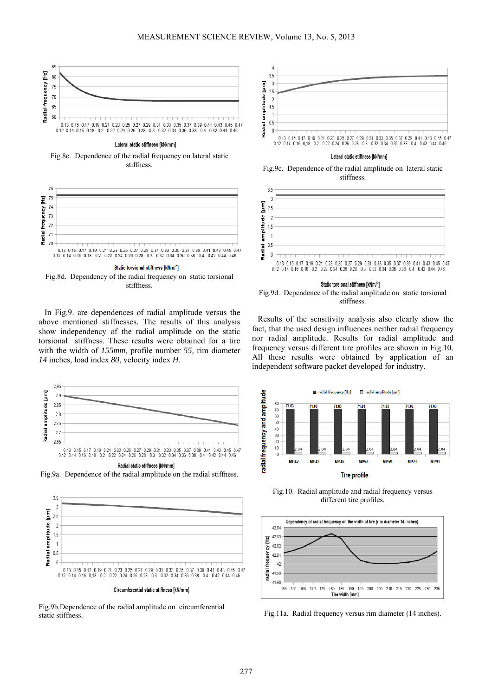

Lateral static stiffness [kN/mm]

Fig.8c. Dependence of the radial frequency on lateral static stiffness.



In Fig.9. are dependences of radial amplitude versus the above mentioned stiffnesses. The results of this analysis show independency of the radial amplitude on the static torsional stiffness. These results were obtained for a tire with the width of *155mm*, profile number *55,* rim diameter *14* inches, load index *80*, velocity index *H*.





Fig.9b.Dependence of the radial amplitude on circumferential static stiffness.



Lateral static stiffness [kN/mm]

Fig.9c. Dependence of the radial amplitude on lateral static stiffness.



Fig.9d. Dependence of the radial amplitude on static torsional stiffness.

Results of the sensitivity analysis also clearly show the fact, that the used design influences neither radial frequency nor radial amplitude. Results for radial amplitude and frequency versus different tire profiles are shown in Fig.10. All these results were obtained by application of an independent software packet developed for industry.



Fig.10. Radial amplitude and radial frequency versus different tire profiles.



Fig.11a. Radial frequency versus rim diameter (14 inches).